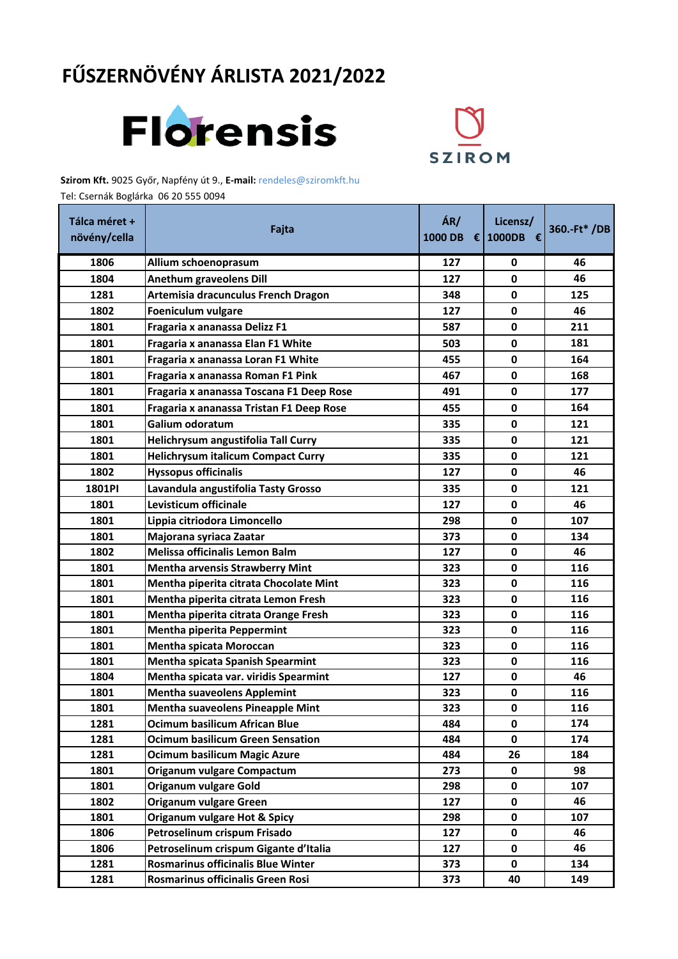## **FŰSZERNÖVÉNY ÁRLISTA 2021/2022**





**Szirom Kft.** 9025 Győr, Napfény út 9., **E-mail:** rendeles@sziromkft.hu

Tel: Csernák Boglárka 06 20 555 0094

| Tálca méret +<br>növény/cella | Fajta                                     | ÁR/<br>1000 DB € 1000DB € | Licensz/     | 360.-Ft* /DB |
|-------------------------------|-------------------------------------------|---------------------------|--------------|--------------|
| 1806                          | Allium schoenoprasum                      | 127                       | 0            | 46           |
| 1804                          | <b>Anethum graveolens Dill</b>            | 127                       | 0            | 46           |
| 1281                          | Artemisia dracunculus French Dragon       | 348                       | 0            | 125          |
| 1802                          | Foeniculum vulgare                        | 127                       | 0            | 46           |
| 1801                          | Fragaria x ananassa Delizz F1             | 587                       | 0            | 211          |
| 1801                          | Fragaria x ananassa Elan F1 White         | 503                       | 0            | 181          |
| 1801                          | Fragaria x ananassa Loran F1 White        | 455                       | 0            | 164          |
| 1801                          | Fragaria x ananassa Roman F1 Pink         | 467                       | 0            | 168          |
| 1801                          | Fragaria x ananassa Toscana F1 Deep Rose  | 491                       | 0            | 177          |
| 1801                          | Fragaria x ananassa Tristan F1 Deep Rose  | 455                       | 0            | 164          |
| 1801                          | Galium odoratum                           | 335                       | 0            | 121          |
| 1801                          | Helichrysum angustifolia Tall Curry       | 335                       | 0            | 121          |
| 1801                          | <b>Helichrysum italicum Compact Curry</b> | 335                       | 0            | 121          |
| 1802                          | <b>Hyssopus officinalis</b>               | 127                       | 0            | 46           |
| 1801PI                        | Lavandula angustifolia Tasty Grosso       | 335                       | 0            | 121          |
| 1801                          | Levisticum officinale                     | 127                       | 0            | 46           |
| 1801                          | Lippia citriodora Limoncello              | 298                       | 0            | 107          |
| 1801                          | Majorana syriaca Zaatar                   | 373                       | 0            | 134          |
| 1802                          | Melissa officinalis Lemon Balm            | 127                       | 0            | 46           |
| 1801                          | <b>Mentha arvensis Strawberry Mint</b>    | 323                       | 0            | 116          |
| 1801                          | Mentha piperita citrata Chocolate Mint    | 323                       | 0            | 116          |
| 1801                          | Mentha piperita citrata Lemon Fresh       | 323                       | 0            | 116          |
| 1801                          | Mentha piperita citrata Orange Fresh      | 323                       | $\mathbf 0$  | 116          |
| 1801                          | Mentha piperita Peppermint                | 323                       | 0            | 116          |
| 1801                          | <b>Mentha spicata Moroccan</b>            | 323                       | 0            | 116          |
| 1801                          | <b>Mentha spicata Spanish Spearmint</b>   | 323                       | 0            | 116          |
| 1804                          | Mentha spicata var. viridis Spearmint     | 127                       | 0            | 46           |
| 1801                          | <b>Mentha suaveolens Applemint</b>        | 323                       | $\mathbf 0$  | 116          |
| 1801                          | <b>Mentha suaveolens Pineapple Mint</b>   | 323                       | 0            | 116          |
| 1281                          | <b>Ocimum basilicum African Blue</b>      | 484                       | 0            | 174          |
| 1281                          | <b>Ocimum basilicum Green Sensation</b>   | 484                       | $\mathbf{0}$ | 174          |
| 1281                          | <b>Ocimum basilicum Magic Azure</b>       | 484                       | 26           | 184          |
| 1801                          | Origanum vulgare Compactum                | 273                       | 0            | 98           |
| 1801                          | <b>Origanum vulgare Gold</b>              | 298                       | 0            | 107          |
| 1802                          | Origanum vulgare Green                    | 127                       | 0            | 46           |
| 1801                          | <b>Origanum vulgare Hot &amp; Spicy</b>   | 298                       | 0            | 107          |
| 1806                          | Petroselinum crispum Frisado              | 127                       | 0            | 46           |
| 1806                          | Petroselinum crispum Gigante d'Italia     | 127                       | 0            | 46           |
| 1281                          | Rosmarinus officinalis Blue Winter        | 373                       | 0            | 134          |
| 1281                          | Rosmarinus officinalis Green Rosi         | 373                       | 40           | 149          |